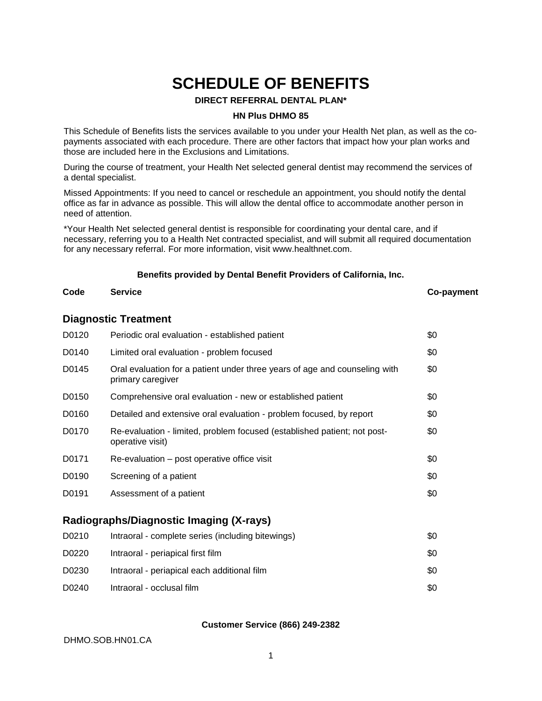# **SCHEDULE OF BENEFITS**

#### **DIRECT REFERRAL DENTAL PLAN\***

#### **HN Plus DHMO 85**

This Schedule of Benefits lists the services available to you under your Health Net plan, as well as the copayments associated with each procedure. There are other factors that impact how your plan works and those are included here in the Exclusions and Limitations.

During the course of treatment, your Health Net selected general dentist may recommend the services of a dental specialist.

Missed Appointments: If you need to cancel or reschedule an appointment, you should notify the dental office as far in advance as possible. This will allow the dental office to accommodate another person in need of attention.

\*Your Health Net selected general dentist is responsible for coordinating your dental care, and if necessary, referring you to a Health Net contracted specialist, and will submit all required documentation for any necessary referral. For more information, visit www.healthnet.com.

# **Benefits provided by Dental Benefit Providers of California, Inc. Code Service Co-payment**

# **Diagnostic Treatment**

| D0120 | Periodic oral evaluation - established patient                                                  | \$0 |
|-------|-------------------------------------------------------------------------------------------------|-----|
| D0140 | Limited oral evaluation - problem focused                                                       | \$0 |
| D0145 | Oral evaluation for a patient under three years of age and counseling with<br>primary caregiver | \$0 |
| D0150 | Comprehensive oral evaluation - new or established patient                                      | \$0 |
| D0160 | Detailed and extensive oral evaluation - problem focused, by report                             | \$0 |
| D0170 | Re-evaluation - limited, problem focused (established patient; not post-<br>operative visit)    | \$0 |
| D0171 | Re-evaluation – post operative office visit                                                     | \$0 |
| D0190 | Screening of a patient                                                                          | \$0 |
| D0191 | Assessment of a patient                                                                         | \$0 |

#### **Radiographs/Diagnostic Imaging (X-rays)**

| D0210 | Intraoral - complete series (including bitewings) | \$0  |
|-------|---------------------------------------------------|------|
| D0220 | Intraoral - periapical first film                 | \$0  |
| D0230 | Intraoral - periapical each additional film       | \$0  |
| D0240 | Intraoral - occlusal film                         | \$0. |

#### **Customer Service (866) 249-2382**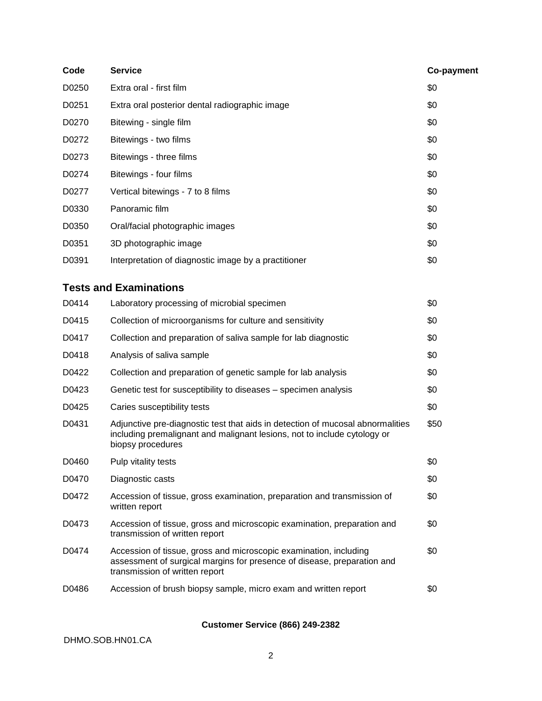| Code  | <b>Service</b>                                                                                                                                                                  | Co-payment |
|-------|---------------------------------------------------------------------------------------------------------------------------------------------------------------------------------|------------|
| D0250 | Extra oral - first film                                                                                                                                                         | \$0        |
| D0251 | Extra oral posterior dental radiographic image                                                                                                                                  | \$0        |
| D0270 | Bitewing - single film                                                                                                                                                          | \$0        |
| D0272 | Bitewings - two films                                                                                                                                                           | \$0        |
| D0273 | Bitewings - three films                                                                                                                                                         | \$0        |
| D0274 | Bitewings - four films                                                                                                                                                          | \$0        |
| D0277 | Vertical bitewings - 7 to 8 films                                                                                                                                               | \$0        |
| D0330 | Panoramic film                                                                                                                                                                  | \$0        |
| D0350 | Oral/facial photographic images                                                                                                                                                 | \$0        |
| D0351 | 3D photographic image                                                                                                                                                           | \$0        |
| D0391 | Interpretation of diagnostic image by a practitioner                                                                                                                            | \$0        |
|       | <b>Tests and Examinations</b>                                                                                                                                                   |            |
| D0414 | Laboratory processing of microbial specimen                                                                                                                                     | \$0        |
| D0415 | Collection of microorganisms for culture and sensitivity                                                                                                                        | \$0        |
| D0417 | Collection and preparation of saliva sample for lab diagnostic                                                                                                                  | \$0        |
| D0418 | Analysis of saliva sample                                                                                                                                                       | \$0        |
| D0422 | Collection and preparation of genetic sample for lab analysis                                                                                                                   | \$0        |
| D0423 | Genetic test for susceptibility to diseases – specimen analysis                                                                                                                 | \$0        |
| D0425 | Caries susceptibility tests                                                                                                                                                     | \$0        |
| D0431 | Adjunctive pre-diagnostic test that aids in detection of mucosal abnormalities<br>including premalignant and malignant lesions, not to include cytology or<br>biopsy procedures | \$50       |
| D0460 | Pulp vitality tests                                                                                                                                                             | \$0        |
| D0470 | Diagnostic casts                                                                                                                                                                | \$0        |
| D0472 | Accession of tissue, gross examination, preparation and transmission of<br>written report                                                                                       | \$0        |
| D0473 | Accession of tissue, gross and microscopic examination, preparation and<br>transmission of written report                                                                       | \$0        |
| D0474 | Accession of tissue, gross and microscopic examination, including<br>assessment of surgical margins for presence of disease, preparation and<br>transmission of written report  | \$0        |
| D0486 | Accession of brush biopsy sample, micro exam and written report                                                                                                                 | \$0        |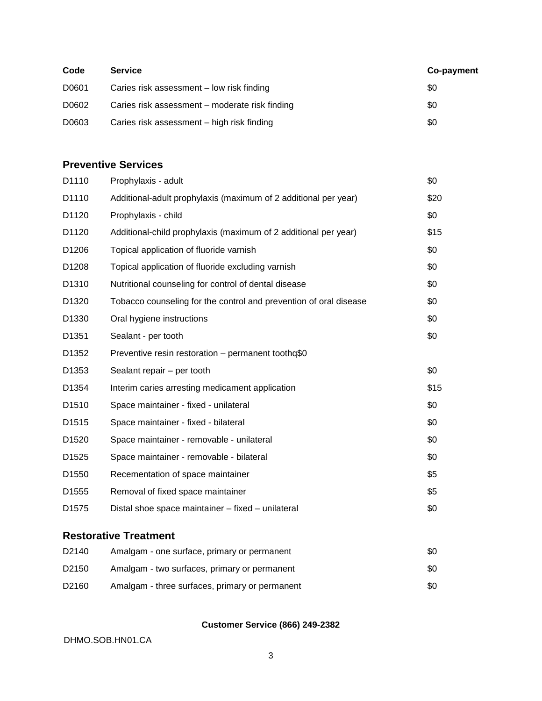| Code  | <b>Service</b>                                 | Co-payment |
|-------|------------------------------------------------|------------|
| D0601 | Caries risk assessment - low risk finding      | \$0        |
| D0602 | Caries risk assessment – moderate risk finding | \$0        |
| D0603 | Caries risk assessment - high risk finding     | \$0        |

# **Preventive Services**

| D1110             | Prophylaxis - adult                                               | \$0  |
|-------------------|-------------------------------------------------------------------|------|
| D1110             | Additional-adult prophylaxis (maximum of 2 additional per year)   | \$20 |
| D1120             | Prophylaxis - child                                               | \$0  |
| D1120             | Additional-child prophylaxis (maximum of 2 additional per year)   | \$15 |
| D1206             | Topical application of fluoride varnish                           | \$0  |
| D1208             | Topical application of fluoride excluding varnish                 | \$0  |
| D <sub>1310</sub> | Nutritional counseling for control of dental disease              | \$0  |
| D1320             | Tobacco counseling for the control and prevention of oral disease | \$0  |
| D1330             | Oral hygiene instructions                                         | \$0  |
| D1351             | Sealant - per tooth                                               | \$0  |
| D1352             | Preventive resin restoration - permanent toothq\$0                |      |
| D <sub>1353</sub> | Sealant repair – per tooth                                        | \$0  |
| D1354             | Interim caries arresting medicament application                   | \$15 |
| D <sub>1510</sub> | Space maintainer - fixed - unilateral                             | \$0  |
| D1515             | Space maintainer - fixed - bilateral                              | \$0  |
| D1520             | Space maintainer - removable - unilateral                         | \$0  |
| D <sub>1525</sub> | Space maintainer - removable - bilateral                          | \$0  |
| D <sub>1550</sub> | Recementation of space maintainer                                 | \$5  |
| D <sub>1555</sub> | Removal of fixed space maintainer                                 | \$5  |
| D1575             | Distal shoe space maintainer - fixed - unilateral                 | \$0  |
|                   |                                                                   |      |

# **Restorative Treatment**

| D <sub>2140</sub> | Amalgam - one surface, primary or permanent    | \$0  |
|-------------------|------------------------------------------------|------|
| D <sub>2150</sub> | Amalgam - two surfaces, primary or permanent   | \$0  |
| D <sub>2160</sub> | Amalgam - three surfaces, primary or permanent | \$0. |

## **Customer Service (866) 249-2382**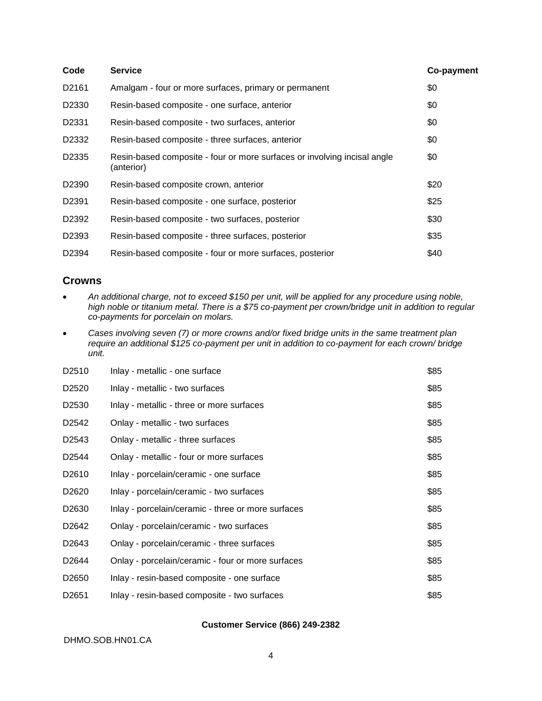| Code              | <b>Service</b>                                                                         | Co-payment |
|-------------------|----------------------------------------------------------------------------------------|------------|
| D2161             | Amalgam - four or more surfaces, primary or permanent                                  | \$0        |
| D <sub>2330</sub> | Resin-based composite - one surface, anterior                                          | \$0        |
| D2331             | Resin-based composite - two surfaces, anterior                                         | \$0        |
| D <sub>2332</sub> | Resin-based composite - three surfaces, anterior                                       | \$0        |
| D <sub>2335</sub> | Resin-based composite - four or more surfaces or involving incisal angle<br>(anterior) | \$0        |
| D <sub>2390</sub> | Resin-based composite crown, anterior                                                  | \$20       |
| D <sub>2391</sub> | Resin-based composite - one surface, posterior                                         | \$25       |
| D2392             | Resin-based composite - two surfaces, posterior                                        | \$30       |
| D <sub>2393</sub> | Resin-based composite - three surfaces, posterior                                      | \$35       |
| D2394             | Resin-based composite - four or more surfaces, posterior                               | \$40       |

#### **Crowns**

- *An additional charge, not to exceed \$150 per unit, will be applied for any procedure using noble, high noble or titanium metal. There is a \$75 co-payment per crown/bridge unit in addition to regular co-payments for porcelain on molars.*
- *Cases involving seven (7) or more crowns and/or fixed bridge units in the same treatment plan require an additional \$125 co-payment per unit in addition to co-payment for each crown/ bridge unit.*

| D <sub>2510</sub> | Inlay - metallic - one surface                     | \$85 |
|-------------------|----------------------------------------------------|------|
| D <sub>2520</sub> | Inlay - metallic - two surfaces                    | \$85 |
| D <sub>2530</sub> | Inlay - metallic - three or more surfaces          | \$85 |
| D <sub>2542</sub> | Onlay - metallic - two surfaces                    | \$85 |
| D <sub>2543</sub> | Onlay - metallic - three surfaces                  | \$85 |
| D <sub>2544</sub> | Onlay - metallic - four or more surfaces           | \$85 |
| D <sub>2610</sub> | Inlay - porcelain/ceramic - one surface            | \$85 |
| D <sub>2620</sub> | Inlay - porcelain/ceramic - two surfaces           | \$85 |
| D <sub>2630</sub> | Inlay - porcelain/ceramic - three or more surfaces | \$85 |
| D <sub>2642</sub> | Onlay - porcelain/ceramic - two surfaces           | \$85 |
| D <sub>2643</sub> | Onlay - porcelain/ceramic - three surfaces         | \$85 |
| D <sub>2644</sub> | Onlay - porcelain/ceramic - four or more surfaces  | \$85 |
| D <sub>2650</sub> | Inlay - resin-based composite - one surface        | \$85 |
| D <sub>2651</sub> | Inlay - resin-based composite - two surfaces       | \$85 |

#### **Customer Service (866) 249-2382**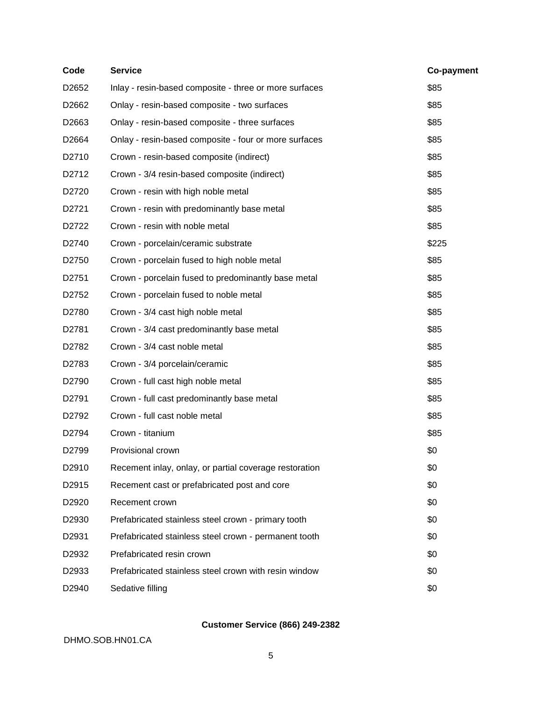| Code  | <b>Service</b>                                         | Co-payment |
|-------|--------------------------------------------------------|------------|
| D2652 | Inlay - resin-based composite - three or more surfaces | \$85       |
| D2662 | Onlay - resin-based composite - two surfaces           | \$85       |
| D2663 | Onlay - resin-based composite - three surfaces         | \$85       |
| D2664 | Onlay - resin-based composite - four or more surfaces  | \$85       |
| D2710 | Crown - resin-based composite (indirect)               | \$85       |
| D2712 | Crown - 3/4 resin-based composite (indirect)           | \$85       |
| D2720 | Crown - resin with high noble metal                    | \$85       |
| D2721 | Crown - resin with predominantly base metal            | \$85       |
| D2722 | Crown - resin with noble metal                         | \$85       |
| D2740 | Crown - porcelain/ceramic substrate                    | \$225      |
| D2750 | Crown - porcelain fused to high noble metal            | \$85       |
| D2751 | Crown - porcelain fused to predominantly base metal    | \$85       |
| D2752 | Crown - porcelain fused to noble metal                 | \$85       |
| D2780 | Crown - 3/4 cast high noble metal                      | \$85       |
| D2781 | Crown - 3/4 cast predominantly base metal              | \$85       |
| D2782 | Crown - 3/4 cast noble metal                           | \$85       |
| D2783 | Crown - 3/4 porcelain/ceramic                          | \$85       |
| D2790 | Crown - full cast high noble metal                     | \$85       |
| D2791 | Crown - full cast predominantly base metal             | \$85       |
| D2792 | Crown - full cast noble metal                          | \$85       |
| D2794 | Crown - titanium                                       | \$85       |
| D2799 | Provisional crown                                      | \$0        |
| D2910 | Recement inlay, onlay, or partial coverage restoration | \$0        |
| D2915 | Recement cast or prefabricated post and core           | \$0        |
| D2920 | Recement crown                                         | \$0        |
| D2930 | Prefabricated stainless steel crown - primary tooth    | \$0        |
| D2931 | Prefabricated stainless steel crown - permanent tooth  | \$0        |
| D2932 | Prefabricated resin crown                              | \$0        |
| D2933 | Prefabricated stainless steel crown with resin window  | \$0        |
| D2940 | Sedative filling                                       | \$0        |
|       |                                                        |            |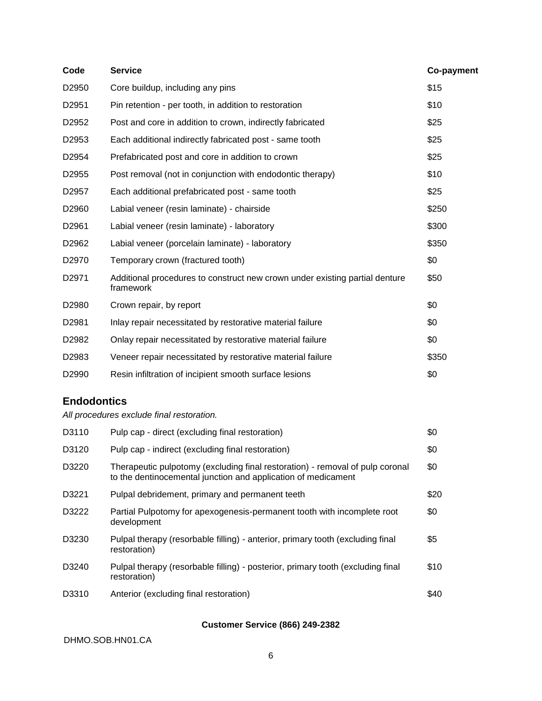| Code              | <b>Service</b>                                                                           | Co-payment |
|-------------------|------------------------------------------------------------------------------------------|------------|
| D2950             | Core buildup, including any pins                                                         | \$15       |
| D2951             | Pin retention - per tooth, in addition to restoration                                    | \$10       |
| D2952             | Post and core in addition to crown, indirectly fabricated                                | \$25       |
| D2953             | Each additional indirectly fabricated post - same tooth                                  | \$25       |
| D2954             | Prefabricated post and core in addition to crown                                         | \$25       |
| D2955             | Post removal (not in conjunction with endodontic therapy)                                | \$10       |
| D <sub>2957</sub> | Each additional prefabricated post - same tooth                                          | \$25       |
| D <sub>2960</sub> | Labial veneer (resin laminate) - chairside                                               | \$250      |
| D2961             | Labial veneer (resin laminate) - laboratory                                              | \$300      |
| D2962             | Labial veneer (porcelain laminate) - laboratory                                          | \$350      |
| D2970             | Temporary crown (fractured tooth)                                                        | \$0        |
| D2971             | Additional procedures to construct new crown under existing partial denture<br>framework | \$50       |
| D2980             | Crown repair, by report                                                                  | \$0        |
| D <sub>2981</sub> | Inlay repair necessitated by restorative material failure                                | \$0        |
| D2982             | Onlay repair necessitated by restorative material failure                                | \$0        |
| D2983             | Veneer repair necessitated by restorative material failure                               | \$350      |
| D2990             | Resin infiltration of incipient smooth surface lesions                                   | \$0        |

# **Endodontics**

*All procedures exclude final restoration.*

| D3110 | Pulp cap - direct (excluding final restoration)                                                                                                | \$0   |
|-------|------------------------------------------------------------------------------------------------------------------------------------------------|-------|
| D3120 | Pulp cap - indirect (excluding final restoration)                                                                                              | \$0   |
| D3220 | Therapeutic pulpotomy (excluding final restoration) - removal of pulp coronal<br>to the dentinocemental junction and application of medicament | \$0   |
| D3221 | Pulpal debridement, primary and permanent teeth                                                                                                | \$20  |
| D3222 | Partial Pulpotomy for apexogenesis-permanent tooth with incomplete root<br>development                                                         | \$0   |
| D3230 | Pulpal therapy (resorbable filling) - anterior, primary tooth (excluding final<br>restoration)                                                 | \$5   |
| D3240 | Pulpal therapy (resorbable filling) - posterior, primary tooth (excluding final<br>restoration)                                                | \$10  |
| D3310 | Anterior (excluding final restoration)                                                                                                         | \$40. |

## **Customer Service (866) 249-2382**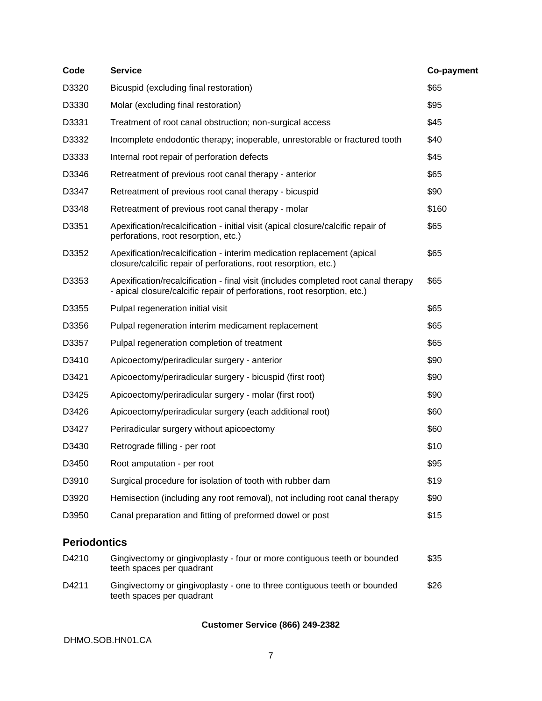| Code                | <b>Service</b>                                                                                                                                                 | Co-payment |
|---------------------|----------------------------------------------------------------------------------------------------------------------------------------------------------------|------------|
| D3320               | Bicuspid (excluding final restoration)                                                                                                                         | \$65       |
| D3330               | Molar (excluding final restoration)                                                                                                                            | \$95       |
| D3331               | Treatment of root canal obstruction; non-surgical access                                                                                                       | \$45       |
| D3332               | Incomplete endodontic therapy; inoperable, unrestorable or fractured tooth                                                                                     | \$40       |
| D3333               | Internal root repair of perforation defects                                                                                                                    | \$45       |
| D3346               | Retreatment of previous root canal therapy - anterior                                                                                                          | \$65       |
| D3347               | Retreatment of previous root canal therapy - bicuspid                                                                                                          | \$90       |
| D3348               | Retreatment of previous root canal therapy - molar                                                                                                             | \$160      |
| D3351               | Apexification/recalcification - initial visit (apical closure/calcific repair of<br>perforations, root resorption, etc.)                                       | \$65       |
| D3352               | Apexification/recalcification - interim medication replacement (apical<br>closure/calcific repair of perforations, root resorption, etc.)                      | \$65       |
| D3353               | Apexification/recalcification - final visit (includes completed root canal therapy<br>- apical closure/calcific repair of perforations, root resorption, etc.) | \$65       |
| D3355               | Pulpal regeneration initial visit                                                                                                                              | \$65       |
| D3356               | Pulpal regeneration interim medicament replacement                                                                                                             | \$65       |
| D3357               | Pulpal regeneration completion of treatment                                                                                                                    | \$65       |
| D3410               | Apicoectomy/periradicular surgery - anterior                                                                                                                   | \$90       |
| D3421               | Apicoectomy/periradicular surgery - bicuspid (first root)                                                                                                      | \$90       |
| D3425               | Apicoectomy/periradicular surgery - molar (first root)                                                                                                         | \$90       |
| D3426               | Apicoectomy/periradicular surgery (each additional root)                                                                                                       | \$60       |
| D3427               | Periradicular surgery without apicoectomy                                                                                                                      | \$60       |
| D3430               | Retrograde filling - per root                                                                                                                                  | \$10       |
| D3450               | Root amputation - per root                                                                                                                                     | \$95       |
| D3910               | Surgical procedure for isolation of tooth with rubber dam                                                                                                      | \$19       |
| D3920               | Hemisection (including any root removal), not including root canal therapy                                                                                     | \$90       |
| D3950               | Canal preparation and fitting of preformed dowel or post                                                                                                       | \$15       |
| <b>Periodontics</b> |                                                                                                                                                                |            |

| D4210 | Gingivectomy or gingivoplasty - four or more contiguous teeth or bounded<br>teeth spaces per quadrant | \$35 |
|-------|-------------------------------------------------------------------------------------------------------|------|
| D4211 | Gingivectomy or gingivoplasty - one to three contiguous teeth or bounded<br>teeth spaces per quadrant | \$26 |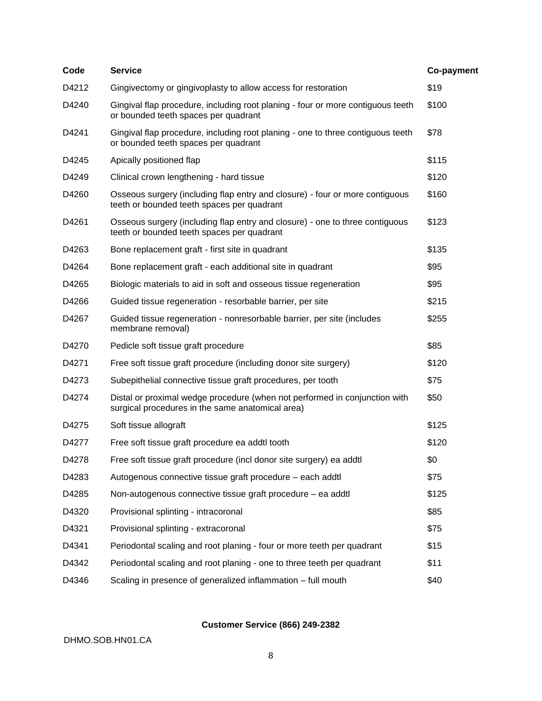| Code  | <b>Service</b>                                                                                                                 | Co-payment |
|-------|--------------------------------------------------------------------------------------------------------------------------------|------------|
| D4212 | Gingivectomy or gingivoplasty to allow access for restoration                                                                  | \$19       |
| D4240 | Gingival flap procedure, including root planing - four or more contiguous teeth<br>or bounded teeth spaces per quadrant        | \$100      |
| D4241 | Gingival flap procedure, including root planing - one to three contiguous teeth<br>or bounded teeth spaces per quadrant        | \$78       |
| D4245 | Apically positioned flap                                                                                                       | \$115      |
| D4249 | Clinical crown lengthening - hard tissue                                                                                       | \$120      |
| D4260 | Osseous surgery (including flap entry and closure) - four or more contiguous<br>teeth or bounded teeth spaces per quadrant     | \$160      |
| D4261 | Osseous surgery (including flap entry and closure) - one to three contiguous<br>teeth or bounded teeth spaces per quadrant     | \$123      |
| D4263 | Bone replacement graft - first site in quadrant                                                                                | \$135      |
| D4264 | Bone replacement graft - each additional site in quadrant                                                                      | \$95       |
| D4265 | Biologic materials to aid in soft and osseous tissue regeneration                                                              | \$95       |
| D4266 | Guided tissue regeneration - resorbable barrier, per site                                                                      | \$215      |
| D4267 | Guided tissue regeneration - nonresorbable barrier, per site (includes<br>membrane removal)                                    | \$255      |
| D4270 | Pedicle soft tissue graft procedure                                                                                            | \$85       |
| D4271 | Free soft tissue graft procedure (including donor site surgery)                                                                | \$120      |
| D4273 | Subepithelial connective tissue graft procedures, per tooth                                                                    | \$75       |
| D4274 | Distal or proximal wedge procedure (when not performed in conjunction with<br>surgical procedures in the same anatomical area) | \$50       |
| D4275 | Soft tissue allograft                                                                                                          | \$125      |
| D4277 | Free soft tissue graft procedure ea addtl tooth                                                                                | \$120      |
| D4278 | Free soft tissue graft procedure (incl donor site surgery) ea addtl                                                            | \$0        |
| D4283 | Autogenous connective tissue graft procedure - each addtl                                                                      | \$75       |
| D4285 | Non-autogenous connective tissue graft procedure - ea addtl                                                                    | \$125      |
| D4320 | Provisional splinting - intracoronal                                                                                           | \$85       |
| D4321 | Provisional splinting - extracoronal                                                                                           | \$75       |
| D4341 | Periodontal scaling and root planing - four or more teeth per quadrant                                                         | \$15       |
| D4342 | Periodontal scaling and root planing - one to three teeth per quadrant                                                         | \$11       |
| D4346 | Scaling in presence of generalized inflammation - full mouth                                                                   | \$40       |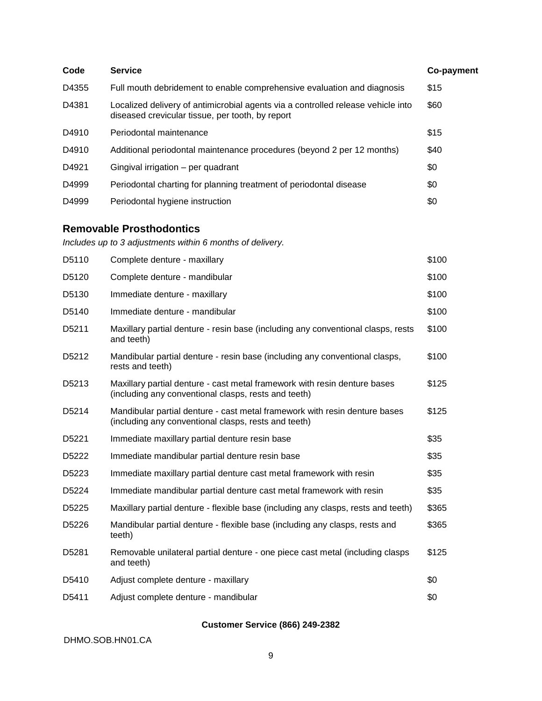| Code  | <b>Service</b>                                                                                                                       | Co-payment |
|-------|--------------------------------------------------------------------------------------------------------------------------------------|------------|
| D4355 | Full mouth debridement to enable comprehensive evaluation and diagnosis                                                              | \$15       |
| D4381 | Localized delivery of antimicrobial agents via a controlled release vehicle into<br>diseased crevicular tissue, per tooth, by report | \$60       |
| D4910 | Periodontal maintenance                                                                                                              | \$15       |
| D4910 | Additional periodontal maintenance procedures (beyond 2 per 12 months)                                                               | \$40       |
| D4921 | Gingival irrigation - per quadrant                                                                                                   | \$0        |
| D4999 | Periodontal charting for planning treatment of periodontal disease                                                                   | \$0        |
| D4999 | Periodontal hygiene instruction                                                                                                      | \$0        |

## **Removable Prosthodontics**

*Includes up to 3 adjustments within 6 months of delivery.*

| D5110              | Complete denture - maxillary                                                                                                       | \$100 |
|--------------------|------------------------------------------------------------------------------------------------------------------------------------|-------|
| D <sub>5</sub> 120 | Complete denture - mandibular                                                                                                      | \$100 |
| D <sub>5</sub> 130 | Immediate denture - maxillary                                                                                                      | \$100 |
| D <sub>5</sub> 140 | Immediate denture - mandibular                                                                                                     | \$100 |
| D5211              | Maxillary partial denture - resin base (including any conventional clasps, rests<br>and teeth)                                     | \$100 |
| D5212              | Mandibular partial denture - resin base (including any conventional clasps,<br>rests and teeth)                                    | \$100 |
| D5213              | Maxillary partial denture - cast metal framework with resin denture bases<br>(including any conventional clasps, rests and teeth)  | \$125 |
| D <sub>5214</sub>  | Mandibular partial denture - cast metal framework with resin denture bases<br>(including any conventional clasps, rests and teeth) | \$125 |
| D5221              | Immediate maxillary partial denture resin base                                                                                     | \$35  |
| D5222              | Immediate mandibular partial denture resin base                                                                                    | \$35  |
| D5223              | Immediate maxillary partial denture cast metal framework with resin                                                                | \$35  |
| D5224              | Immediate mandibular partial denture cast metal framework with resin                                                               | \$35  |
| D5225              | Maxillary partial denture - flexible base (including any clasps, rests and teeth)                                                  | \$365 |
| D5226              | Mandibular partial denture - flexible base (including any clasps, rests and<br>teeth)                                              | \$365 |
| D <sub>5281</sub>  | Removable unilateral partial denture - one piece cast metal (including clasps<br>and teeth)                                        | \$125 |
| D5410              | Adjust complete denture - maxillary                                                                                                | \$0   |
| D5411              | Adjust complete denture - mandibular                                                                                               | \$0   |

## **Customer Service (866) 249-2382**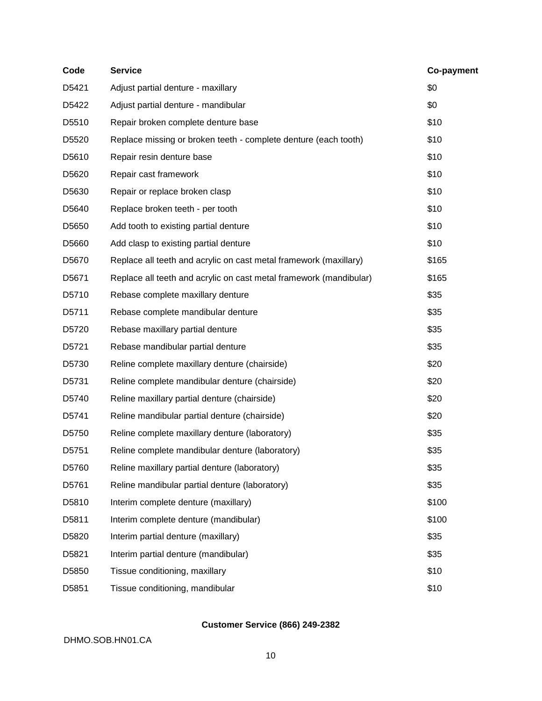| Code  | <b>Service</b>                                                     | Co-payment |
|-------|--------------------------------------------------------------------|------------|
| D5421 | Adjust partial denture - maxillary                                 | \$0        |
| D5422 | Adjust partial denture - mandibular                                | \$0        |
| D5510 | Repair broken complete denture base                                | \$10       |
| D5520 | Replace missing or broken teeth - complete denture (each tooth)    | \$10       |
| D5610 | Repair resin denture base                                          | \$10       |
| D5620 | Repair cast framework                                              | \$10       |
| D5630 | Repair or replace broken clasp                                     | \$10       |
| D5640 | Replace broken teeth - per tooth                                   | \$10       |
| D5650 | Add tooth to existing partial denture                              | \$10       |
| D5660 | Add clasp to existing partial denture                              | \$10       |
| D5670 | Replace all teeth and acrylic on cast metal framework (maxillary)  | \$165      |
| D5671 | Replace all teeth and acrylic on cast metal framework (mandibular) | \$165      |
| D5710 | Rebase complete maxillary denture                                  | \$35       |
| D5711 | Rebase complete mandibular denture                                 | \$35       |
| D5720 | Rebase maxillary partial denture                                   | \$35       |
| D5721 | Rebase mandibular partial denture                                  | \$35       |
| D5730 | Reline complete maxillary denture (chairside)                      | \$20       |
| D5731 | Reline complete mandibular denture (chairside)                     | \$20       |
| D5740 | Reline maxillary partial denture (chairside)                       | \$20       |
| D5741 | Reline mandibular partial denture (chairside)                      | \$20       |
| D5750 | Reline complete maxillary denture (laboratory)                     | \$35       |
| D5751 | Reline complete mandibular denture (laboratory)                    | \$35       |
| D5760 | Reline maxillary partial denture (laboratory)                      | \$35       |
| D5761 | Reline mandibular partial denture (laboratory)                     | \$35       |
| D5810 | Interim complete denture (maxillary)                               | \$100      |
| D5811 | Interim complete denture (mandibular)                              | \$100      |
| D5820 | Interim partial denture (maxillary)                                | \$35       |
| D5821 | Interim partial denture (mandibular)                               | \$35       |
| D5850 | Tissue conditioning, maxillary                                     | \$10       |
| D5851 | Tissue conditioning, mandibular                                    | \$10       |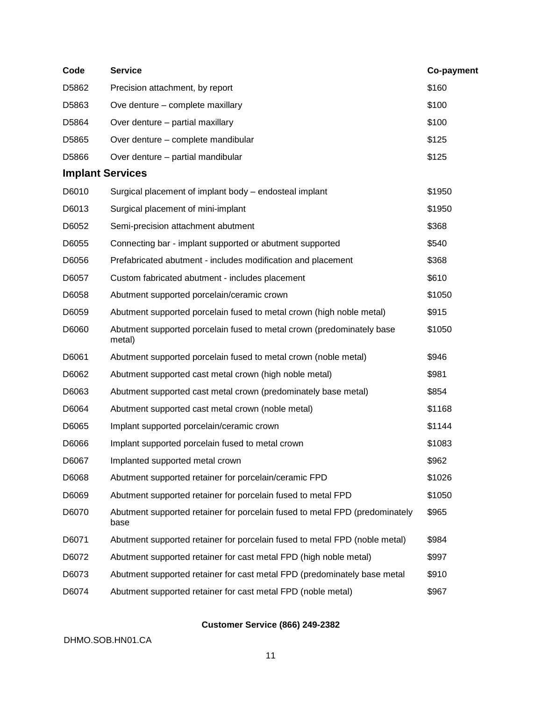| Code                    | <b>Service</b>                                                                      | Co-payment |
|-------------------------|-------------------------------------------------------------------------------------|------------|
| D5862                   | Precision attachment, by report                                                     | \$160      |
| D5863                   | Ove denture - complete maxillary                                                    | \$100      |
| D5864                   | Over denture - partial maxillary                                                    | \$100      |
| D5865                   | Over denture - complete mandibular                                                  | \$125      |
| D5866                   | Over denture - partial mandibular                                                   | \$125      |
| <b>Implant Services</b> |                                                                                     |            |
| D6010                   | Surgical placement of implant body - endosteal implant                              | \$1950     |
| D6013                   | Surgical placement of mini-implant                                                  | \$1950     |
| D6052                   | Semi-precision attachment abutment                                                  | \$368      |
| D6055                   | Connecting bar - implant supported or abutment supported                            | \$540      |
| D6056                   | Prefabricated abutment - includes modification and placement                        | \$368      |
| D6057                   | Custom fabricated abutment - includes placement                                     | \$610      |
| D6058                   | Abutment supported porcelain/ceramic crown                                          | \$1050     |
| D6059                   | Abutment supported porcelain fused to metal crown (high noble metal)                | \$915      |
| D6060                   | Abutment supported porcelain fused to metal crown (predominately base<br>metal)     | \$1050     |
| D6061                   | Abutment supported porcelain fused to metal crown (noble metal)                     | \$946      |
| D6062                   | Abutment supported cast metal crown (high noble metal)                              | \$981      |
| D6063                   | Abutment supported cast metal crown (predominately base metal)                      | \$854      |
| D6064                   | Abutment supported cast metal crown (noble metal)                                   | \$1168     |
| D6065                   | Implant supported porcelain/ceramic crown                                           | \$1144     |
| D6066                   | Implant supported porcelain fused to metal crown                                    | \$1083     |
| D6067                   | Implanted supported metal crown                                                     | \$962      |
| D6068                   | Abutment supported retainer for porcelain/ceramic FPD                               | \$1026     |
| D6069                   | Abutment supported retainer for porcelain fused to metal FPD                        | \$1050     |
| D6070                   | Abutment supported retainer for porcelain fused to metal FPD (predominately<br>base | \$965      |
| D6071                   | Abutment supported retainer for porcelain fused to metal FPD (noble metal)          | \$984      |
| D6072                   | Abutment supported retainer for cast metal FPD (high noble metal)                   | \$997      |
| D6073                   | Abutment supported retainer for cast metal FPD (predominately base metal            | \$910      |
| D6074                   | Abutment supported retainer for cast metal FPD (noble metal)                        | \$967      |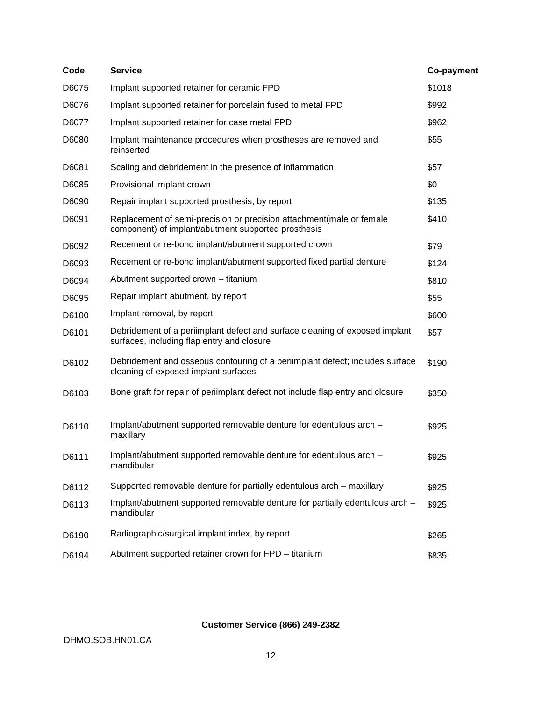| Code  | <b>Service</b>                                                                                                               | Co-payment |
|-------|------------------------------------------------------------------------------------------------------------------------------|------------|
| D6075 | Implant supported retainer for ceramic FPD                                                                                   | \$1018     |
| D6076 | Implant supported retainer for porcelain fused to metal FPD                                                                  | \$992      |
| D6077 | Implant supported retainer for case metal FPD                                                                                | \$962      |
| D6080 | Implant maintenance procedures when prostheses are removed and<br>reinserted                                                 | \$55       |
| D6081 | Scaling and debridement in the presence of inflammation                                                                      | \$57       |
| D6085 | Provisional implant crown                                                                                                    | \$0        |
| D6090 | Repair implant supported prosthesis, by report                                                                               | \$135      |
| D6091 | Replacement of semi-precision or precision attachment (male or female<br>component) of implant/abutment supported prosthesis | \$410      |
| D6092 | Recement or re-bond implant/abutment supported crown                                                                         | \$79       |
| D6093 | Recement or re-bond implant/abutment supported fixed partial denture                                                         | \$124      |
| D6094 | Abutment supported crown - titanium                                                                                          | \$810      |
| D6095 | Repair implant abutment, by report                                                                                           | \$55       |
| D6100 | Implant removal, by report                                                                                                   | \$600      |
| D6101 | Debridement of a periimplant defect and surface cleaning of exposed implant<br>surfaces, including flap entry and closure    | \$57       |
| D6102 | Debridement and osseous contouring of a periimplant defect; includes surface<br>cleaning of exposed implant surfaces         | \$190      |
| D6103 | Bone graft for repair of periimplant defect not include flap entry and closure                                               | \$350      |
| D6110 | Implant/abutment supported removable denture for edentulous arch -<br>maxillary                                              | \$925      |
| D6111 | Implant/abutment supported removable denture for edentulous arch -<br>mandibular                                             | \$925      |
| D6112 | Supported removable denture for partially edentulous arch - maxillary                                                        | \$925      |
| D6113 | Implant/abutment supported removable denture for partially edentulous arch -<br>mandibular                                   | \$925      |
| D6190 | Radiographic/surgical implant index, by report                                                                               | \$265      |
| D6194 | Abutment supported retainer crown for FPD - titanium                                                                         | \$835      |
|       |                                                                                                                              |            |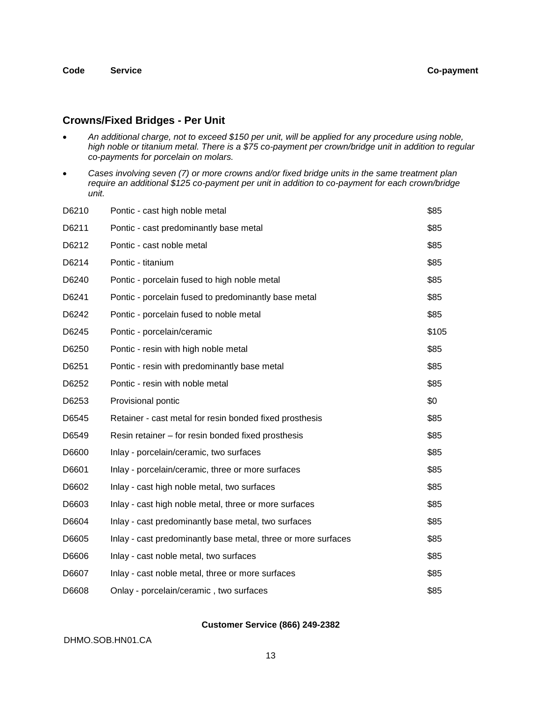### **Crowns/Fixed Bridges - Per Unit**

- *An additional charge, not to exceed \$150 per unit, will be applied for any procedure using noble, high noble or titanium metal. There is a \$75 co-payment per crown/bridge unit in addition to regular co-payments for porcelain on molars.*
- *Cases involving seven (7) or more crowns and/or fixed bridge units in the same treatment plan require an additional \$125 co-payment per unit in addition to co-payment for each crown/bridge unit.*

| D6210 | Pontic - cast high noble metal                                | \$85  |
|-------|---------------------------------------------------------------|-------|
| D6211 | Pontic - cast predominantly base metal                        | \$85  |
| D6212 | Pontic - cast noble metal                                     | \$85  |
| D6214 | Pontic - titanium                                             | \$85  |
| D6240 | Pontic - porcelain fused to high noble metal                  | \$85  |
| D6241 | Pontic - porcelain fused to predominantly base metal          | \$85  |
| D6242 | Pontic - porcelain fused to noble metal                       | \$85  |
| D6245 | Pontic - porcelain/ceramic                                    | \$105 |
| D6250 | Pontic - resin with high noble metal                          | \$85  |
| D6251 | Pontic - resin with predominantly base metal                  | \$85  |
| D6252 | Pontic - resin with noble metal                               | \$85  |
| D6253 | Provisional pontic                                            | \$0   |
| D6545 | Retainer - cast metal for resin bonded fixed prosthesis       | \$85  |
| D6549 | Resin retainer – for resin bonded fixed prosthesis            | \$85  |
| D6600 | Inlay - porcelain/ceramic, two surfaces                       | \$85  |
| D6601 | Inlay - porcelain/ceramic, three or more surfaces             | \$85  |
| D6602 | Inlay - cast high noble metal, two surfaces                   | \$85  |
| D6603 | Inlay - cast high noble metal, three or more surfaces         | \$85  |
| D6604 | Inlay - cast predominantly base metal, two surfaces           | \$85  |
| D6605 | Inlay - cast predominantly base metal, three or more surfaces | \$85  |
| D6606 | Inlay - cast noble metal, two surfaces                        | \$85  |
| D6607 | Inlay - cast noble metal, three or more surfaces              | \$85  |
| D6608 | Onlay - porcelain/ceramic, two surfaces                       | \$85  |

#### **Customer Service (866) 249-2382**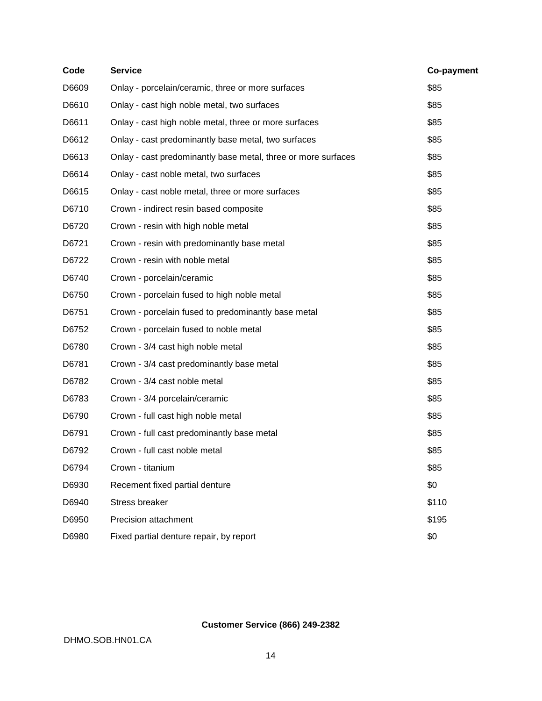| Code  | <b>Service</b>                                                | Co-payment |
|-------|---------------------------------------------------------------|------------|
| D6609 | Onlay - porcelain/ceramic, three or more surfaces             | \$85       |
| D6610 | Onlay - cast high noble metal, two surfaces                   | \$85       |
| D6611 | Onlay - cast high noble metal, three or more surfaces         | \$85       |
| D6612 | Onlay - cast predominantly base metal, two surfaces           | \$85       |
| D6613 | Onlay - cast predominantly base metal, three or more surfaces | \$85       |
| D6614 | Onlay - cast noble metal, two surfaces                        | \$85       |
| D6615 | Onlay - cast noble metal, three or more surfaces              | \$85       |
| D6710 | Crown - indirect resin based composite                        | \$85       |
| D6720 | Crown - resin with high noble metal                           | \$85       |
| D6721 | Crown - resin with predominantly base metal                   | \$85       |
| D6722 | Crown - resin with noble metal                                | \$85       |
| D6740 | Crown - porcelain/ceramic                                     | \$85       |
| D6750 | Crown - porcelain fused to high noble metal                   | \$85       |
| D6751 | Crown - porcelain fused to predominantly base metal           | \$85       |
| D6752 | Crown - porcelain fused to noble metal                        | \$85       |
| D6780 | Crown - 3/4 cast high noble metal                             | \$85       |
| D6781 | Crown - 3/4 cast predominantly base metal                     | \$85       |
| D6782 | Crown - 3/4 cast noble metal                                  | \$85       |
| D6783 | Crown - 3/4 porcelain/ceramic                                 | \$85       |
| D6790 | Crown - full cast high noble metal                            | \$85       |
| D6791 | Crown - full cast predominantly base metal                    | \$85       |
| D6792 | Crown - full cast noble metal                                 | \$85       |
| D6794 | Crown - titanium                                              | \$85       |
| D6930 | Recement fixed partial denture                                | \$0        |
| D6940 | <b>Stress breaker</b>                                         | \$110      |
| D6950 | Precision attachment                                          | \$195      |
| D6980 | Fixed partial denture repair, by report                       | \$0        |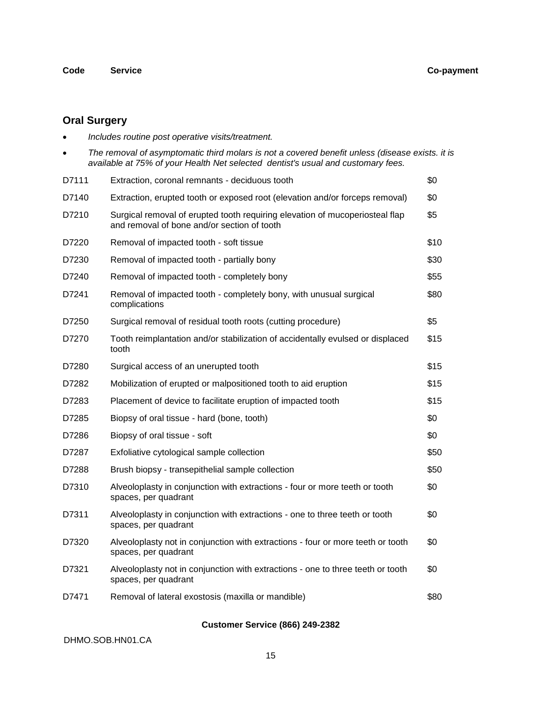## **Code Service Co-payment**

# **Oral Surgery**

| $\bullet$ | Includes routine post operative visits/treatment.                                                                                                                                   |      |
|-----------|-------------------------------------------------------------------------------------------------------------------------------------------------------------------------------------|------|
|           | The removal of asymptomatic third molars is not a covered benefit unless (disease exists. it is<br>available at 75% of your Health Net selected dentist's usual and customary fees. |      |
| D7111     | Extraction, coronal remnants - deciduous tooth                                                                                                                                      | \$0  |
| D7140     | Extraction, erupted tooth or exposed root (elevation and/or forceps removal)                                                                                                        | \$0  |
| D7210     | Surgical removal of erupted tooth requiring elevation of mucoperiosteal flap<br>and removal of bone and/or section of tooth                                                         | \$5  |
| D7220     | Removal of impacted tooth - soft tissue                                                                                                                                             | \$10 |
| D7230     | Removal of impacted tooth - partially bony                                                                                                                                          | \$30 |
| D7240     | Removal of impacted tooth - completely bony                                                                                                                                         | \$55 |
| D7241     | Removal of impacted tooth - completely bony, with unusual surgical<br>complications                                                                                                 | \$80 |
| D7250     | Surgical removal of residual tooth roots (cutting procedure)                                                                                                                        | \$5  |
| D7270     | Tooth reimplantation and/or stabilization of accidentally evulsed or displaced<br>tooth                                                                                             | \$15 |
| D7280     | Surgical access of an unerupted tooth                                                                                                                                               | \$15 |
| D7282     | Mobilization of erupted or malpositioned tooth to aid eruption                                                                                                                      | \$15 |
| D7283     | Placement of device to facilitate eruption of impacted tooth                                                                                                                        | \$15 |
| D7285     | Biopsy of oral tissue - hard (bone, tooth)                                                                                                                                          | \$0  |
| D7286     | Biopsy of oral tissue - soft                                                                                                                                                        | \$0  |
| D7287     | Exfoliative cytological sample collection                                                                                                                                           | \$50 |
| D7288     | Brush biopsy - transepithelial sample collection                                                                                                                                    | \$50 |
| D7310     | Alveoloplasty in conjunction with extractions - four or more teeth or tooth<br>spaces, per quadrant                                                                                 | \$0  |
| D7311     | Alveoloplasty in conjunction with extractions - one to three teeth or tooth<br>spaces, per quadrant                                                                                 | \$0  |
| D7320     | Alveoloplasty not in conjunction with extractions - four or more teeth or tooth<br>spaces, per quadrant                                                                             | \$0  |
| D7321     | Alveoloplasty not in conjunction with extractions - one to three teeth or tooth<br>spaces, per quadrant                                                                             | \$0  |
| D7471     | Removal of lateral exostosis (maxilla or mandible)                                                                                                                                  | \$80 |
|           |                                                                                                                                                                                     |      |

## **Customer Service (866) 249-2382**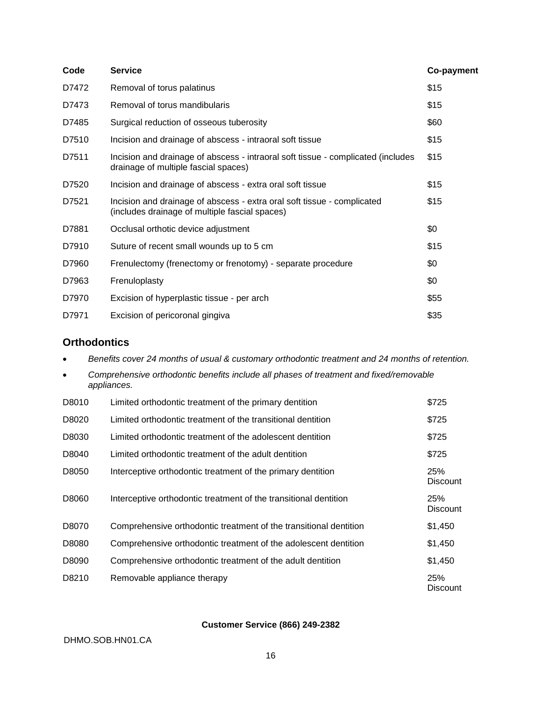| Code  | <b>Service</b>                                                                                                            | Co-payment |
|-------|---------------------------------------------------------------------------------------------------------------------------|------------|
| D7472 | Removal of torus palatinus                                                                                                | \$15       |
| D7473 | Removal of torus mandibularis                                                                                             | \$15       |
| D7485 | Surgical reduction of osseous tuberosity                                                                                  | \$60       |
| D7510 | Incision and drainage of abscess - intraoral soft tissue                                                                  | \$15       |
| D7511 | Incision and drainage of abscess - intraoral soft tissue - complicated (includes<br>drainage of multiple fascial spaces)  | \$15       |
| D7520 | Incision and drainage of abscess - extra oral soft tissue                                                                 | \$15       |
| D7521 | Incision and drainage of abscess - extra oral soft tissue - complicated<br>(includes drainage of multiple fascial spaces) | \$15       |
| D7881 | Occlusal orthotic device adjustment                                                                                       | \$0        |
| D7910 | Suture of recent small wounds up to 5 cm                                                                                  | \$15       |
| D7960 | Frenulectomy (frenectomy or frenotomy) - separate procedure                                                               | \$0        |
| D7963 | Frenuloplasty                                                                                                             | \$0        |
| D7970 | Excision of hyperplastic tissue - per arch                                                                                | \$55       |
| D7971 | Excision of pericoronal gingiva                                                                                           | \$35       |

## **Orthodontics**

*Benefits cover 24 months of usual & customary orthodontic treatment and 24 months of retention.*

| $\bullet$ | Comprehensive orthodontic benefits include all phases of treatment and fixed/removable<br>appliances. |       |  |
|-----------|-------------------------------------------------------------------------------------------------------|-------|--|
| D8010     | Limited orthodontic treatment of the primary dentition                                                | \$725 |  |
| D8020     | Limited orthodontic treatment of the transitional dentition                                           | \$725 |  |
| D8030     | Limited orthodontic treatment of the adolescent dentition                                             | \$725 |  |
| D8040     | Limited orthodontic treatment of the adult dentition                                                  | \$725 |  |

| D8050 | Interceptive orthodontic treatment of the primary dentition       | 25%<br><b>Discount</b> |
|-------|-------------------------------------------------------------------|------------------------|
| D8060 | Interceptive orthodontic treatment of the transitional dentition  | 25%<br><b>Discount</b> |
| D8070 | Comprehensive orthodontic treatment of the transitional dentition | \$1,450                |
| D8080 | Comprehensive orthodontic treatment of the adolescent dentition   | \$1,450                |
| D8090 | Comprehensive orthodontic treatment of the adult dentition        | \$1,450                |
| D8210 | Removable appliance therapy                                       | 25%<br><b>Discount</b> |

### **Customer Service (866) 249-2382**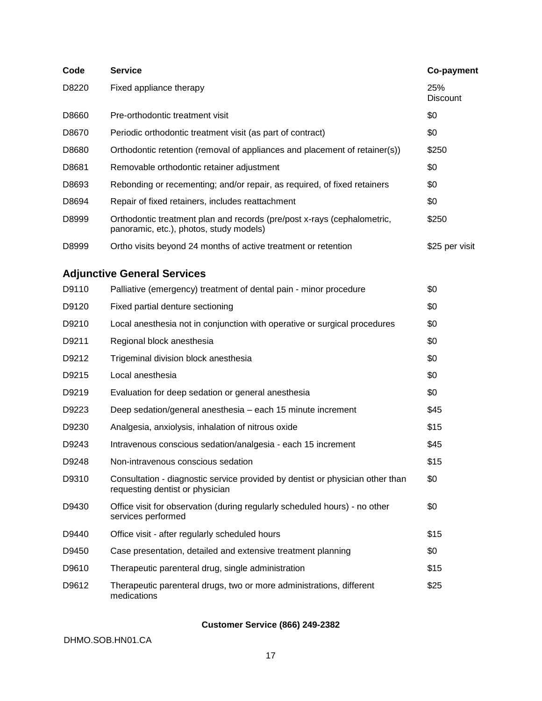| Code                               | <b>Service</b>                                                                                                     | Co-payment             |  |  |  |
|------------------------------------|--------------------------------------------------------------------------------------------------------------------|------------------------|--|--|--|
| D8220                              | Fixed appliance therapy                                                                                            | 25%<br><b>Discount</b> |  |  |  |
| D8660                              | Pre-orthodontic treatment visit                                                                                    | \$0                    |  |  |  |
| D8670                              | Periodic orthodontic treatment visit (as part of contract)                                                         | \$0                    |  |  |  |
| D8680                              | Orthodontic retention (removal of appliances and placement of retainer(s))                                         | \$250                  |  |  |  |
| D8681                              | Removable orthodontic retainer adjustment                                                                          | \$0                    |  |  |  |
| D8693                              | Rebonding or recementing; and/or repair, as required, of fixed retainers                                           | \$0                    |  |  |  |
| D8694                              | Repair of fixed retainers, includes reattachment                                                                   | \$0                    |  |  |  |
| D8999                              | Orthodontic treatment plan and records (pre/post x-rays (cephalometric,<br>panoramic, etc.), photos, study models) | \$250                  |  |  |  |
| D8999                              | Ortho visits beyond 24 months of active treatment or retention                                                     | \$25 per visit         |  |  |  |
| <b>Adjunctive General Services</b> |                                                                                                                    |                        |  |  |  |
| D9110                              | Palliative (emergency) treatment of dental pain - minor procedure                                                  | \$0                    |  |  |  |
| D9120                              | Fixed partial denture sectioning                                                                                   | \$0                    |  |  |  |
| D9210                              | Local anesthesia not in conjunction with operative or surgical procedures                                          | \$0                    |  |  |  |
| D9211                              | Regional block anesthesia                                                                                          | \$0                    |  |  |  |
| D9212                              | Trigeminal division block anesthesia                                                                               | \$0                    |  |  |  |
| D9215                              | Local anesthesia                                                                                                   | \$0                    |  |  |  |
| D9219                              | Evaluation for deep sedation or general anesthesia                                                                 | \$0                    |  |  |  |
| D9223                              | Deep sedation/general anesthesia - each 15 minute increment                                                        | \$45                   |  |  |  |
| D9230                              | Analgesia, anxiolysis, inhalation of nitrous oxide                                                                 | \$15                   |  |  |  |
| D9243                              | Intravenous conscious sedation/analgesia - each 15 increment                                                       | \$45                   |  |  |  |
| D9248                              | Non-intravenous conscious sedation                                                                                 | \$15                   |  |  |  |
| D9310                              | Consultation - diagnostic service provided by dentist or physician other than<br>requesting dentist or physician   | \$0                    |  |  |  |
| D9430                              | Office visit for observation (during regularly scheduled hours) - no other<br>services performed                   | \$0                    |  |  |  |
| D9440                              | Office visit - after regularly scheduled hours                                                                     | \$15                   |  |  |  |
| D9450                              | Case presentation, detailed and extensive treatment planning                                                       | \$0                    |  |  |  |
| D9610                              | Therapeutic parenteral drug, single administration                                                                 | \$15                   |  |  |  |
| D9612                              | Therapeutic parenteral drugs, two or more administrations, different<br>medications                                | \$25                   |  |  |  |